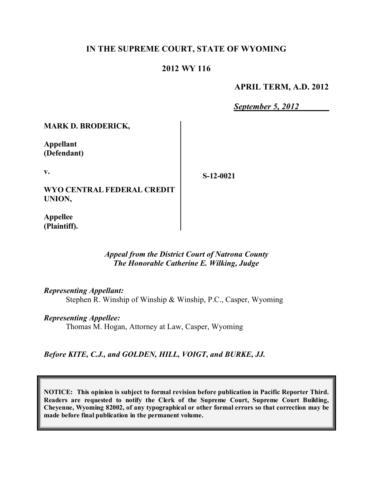## **IN THE SUPREME COURT, STATE OF WYOMING**

### **2012 WY 116**

#### **APRIL TERM, A.D. 2012**

*September 5, 2012*

**MARK D. BRODERICK,**

**Appellant (Defendant)**

**v.**

**WYO CENTRAL FEDERAL CREDIT UNION,**

**S-12-0021**

**Appellee (Plaintiff).**

#### *Appeal from the District Court of Natrona County The Honorable Catherine E. Wilking, Judge*

*Representing Appellant:*

Stephen R. Winship of Winship & Winship, P.C., Casper, Wyoming

*Representing Appellee:*

Thomas M. Hogan, Attorney at Law, Casper, Wyoming

*Before KITE, C.J., and GOLDEN, HILL, VOIGT, and BURKE, JJ.*

**NOTICE: This opinion is subject to formal revision before publication in Pacific Reporter Third. Readers are requested to notify the Clerk of the Supreme Court, Supreme Court Building, Cheyenne, Wyoming 82002, of any typographical or other formal errors so that correction may be made before final publication in the permanent volume.**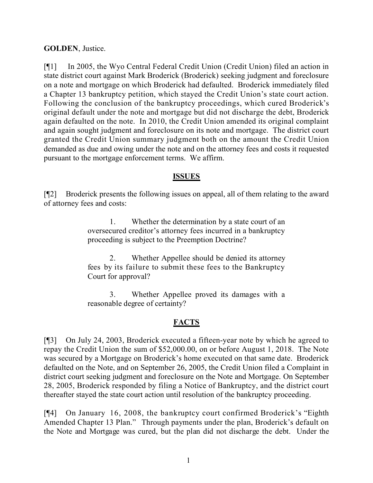### **GOLDEN**, Justice.

[¶1] In 2005, the Wyo Central Federal Credit Union (Credit Union) filed an action in state district court against Mark Broderick (Broderick) seeking judgment and foreclosure on a note and mortgage on which Broderick had defaulted. Broderick immediately filed a Chapter 13 bankruptcy petition, which stayed the Credit Union's state court action. Following the conclusion of the bankruptcy proceedings, which cured Broderick's original default under the note and mortgage but did not discharge the debt, Broderick again defaulted on the note. In 2010, the Credit Union amended its original complaint and again sought judgment and foreclosure on its note and mortgage. The district court granted the Credit Union summary judgment both on the amount the Credit Union demanded as due and owing under the note and on the attorney fees and costs it requested pursuant to the mortgage enforcement terms. We affirm.

#### **ISSUES**

[¶2] Broderick presents the following issues on appeal, all of them relating to the award of attorney fees and costs:

> 1. Whether the determination by a state court of an oversecured creditor's attorney fees incurred in a bankruptcy proceeding is subject to the Preemption Doctrine?

> 2. Whether Appellee should be denied its attorney fees by its failure to submit these fees to the Bankruptcy Court for approval?

> 3. Whether Appellee proved its damages with a reasonable degree of certainty?

### **FACTS**

[¶3] On July 24, 2003, Broderick executed a fifteen-year note by which he agreed to repay the Credit Union the sum of \$52,000.00, on or before August 1, 2018. The Note was secured by a Mortgage on Broderick's home executed on that same date. Broderick defaulted on the Note, and on September 26, 2005, the Credit Union filed a Complaint in district court seeking judgment and foreclosure on the Note and Mortgage. On September 28, 2005, Broderick responded by filing a Notice of Bankruptcy, and the district court thereafter stayed the state court action until resolution of the bankruptcy proceeding.

[¶4] On January 16, 2008, the bankruptcy court confirmed Broderick's "Eighth Amended Chapter 13 Plan." Through payments under the plan, Broderick's default on the Note and Mortgage was cured, but the plan did not discharge the debt. Under the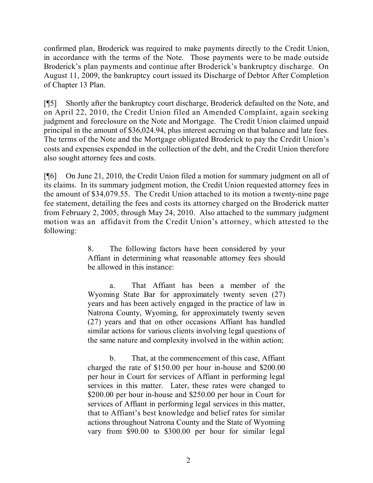confirmed plan, Broderick was required to make payments directly to the Credit Union, in accordance with the terms of the Note. Those payments were to be made outside Broderick's plan payments and continue after Broderick's bankruptcy discharge. On August 11, 2009, the bankruptcy court issued its Discharge of Debtor After Completion of Chapter 13 Plan.

[¶5] Shortly after the bankruptcy court discharge, Broderick defaulted on the Note, and on April 22, 2010, the Credit Union filed an Amended Complaint, again seeking judgment and foreclosure on the Note and Mortgage. The Credit Union claimed unpaid principal in the amount of \$36,024.94, plus interest accruing on that balance and late fees. The terms of the Note and the Mortgage obligated Broderick to pay the Credit Union's costs and expenses expended in the collection of the debt, and the Credit Union therefore also sought attorney fees and costs.

[¶6] On June 21, 2010, the Credit Union filed a motion for summary judgment on all of its claims. In its summary judgment motion, the Credit Union requested attorney fees in the amount of \$34,079.55. The Credit Union attached to its motion a twenty-nine page fee statement, detailing the fees and costs its attorney charged on the Broderick matter from February 2, 2005, through May 24, 2010. Also attached to the summary judgment motion was an affidavit from the Credit Union's attorney, which attested to the following:

> 8. The following factors have been considered by your Affiant in determining what reasonable attorney fees should be allowed in this instance:

> a. That Affiant has been a member of the Wyoming State Bar for approximately twenty seven (27) years and has been actively engaged in the practice of law in Natrona County, Wyoming, for approximately twenty seven (27) years and that on other occasions Affiant has handled similar actions for various clients involving legal questions of the same nature and complexity involved in the within action;

> b. That, at the commencement of this case, Affiant charged the rate of \$150.00 per hour in-house and \$200.00 per hour in Court for services of Affiant in performing legal services in this matter. Later, these rates were changed to \$200.00 per hour in-house and \$250.00 per hour in Court for services of Affiant in performing legal services in this matter, that to Affiant's best knowledge and belief rates for similar actions throughout Natrona County and the State of Wyoming vary from \$90.00 to \$300.00 per hour for similar legal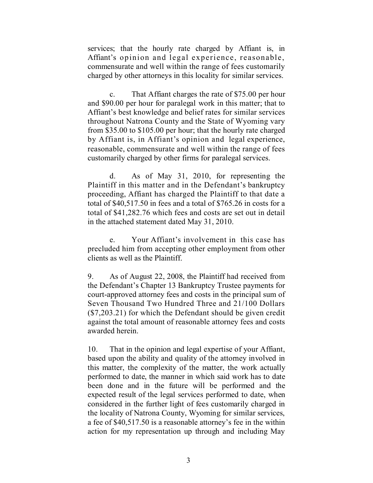services; that the hourly rate charged by Affiant is, in Affiant's opinion and legal experience, reasonable, commensurate and well within the range of fees customarily charged by other attorneys in this locality for similar services.

c. That Affiant charges the rate of \$75.00 per hour and \$90.00 per hour for paralegal work in this matter; that to Affiant's best knowledge and belief rates for similar services throughout Natrona County and the State of Wyoming vary from \$35.00 to \$105.00 per hour; that the hourly rate charged by Affiant is, in Affiant's opinion and legal experience, reasonable, commensurate and well within the range of fees customarily charged by other firms for paralegal services.

d. As of May 31, 2010, for representing the Plaintiff in this matter and in the Defendant's bankruptcy proceeding, Affiant has charged the Plaintiff to that date a total of \$40,517.50 in fees and a total of \$765.26 in costs for a total of \$41,282.76 which fees and costs are set out in detail in the attached statement dated May 31, 2010.

e. Your Affiant's involvement in this case has precluded him from accepting other employment from other clients as well as the Plaintiff.

9. As of August 22, 2008, the Plaintiff had received from the Defendant's Chapter 13 Bankruptcy Trustee payments for court-approved attorney fees and costs in the principal sum of Seven Thousand Two Hundred Three and 21/100 Dollars (\$7,203.21) for which the Defendant should be given credit against the total amount of reasonable attorney fees and costs awarded herein.

10. That in the opinion and legal expertise of your Affiant, based upon the ability and quality of the attorney involved in this matter, the complexity of the matter, the work actually performed to date, the manner in which said work has to date been done and in the future will be performed and the expected result of the legal services performed to date, when considered in the further light of fees customarily charged in the locality of Natrona County, Wyoming for similar services, a fee of \$40,517.50 is a reasonable attorney's fee in the within action for my representation up through and including May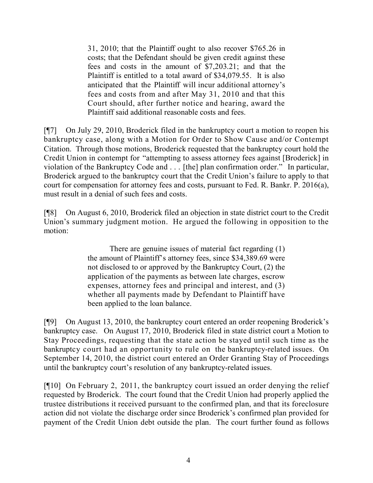31, 2010; that the Plaintiff ought to also recover \$765.26 in costs; that the Defendant should be given credit against these fees and costs in the amount of \$7,203.21; and that the Plaintiff is entitled to a total award of \$34,079.55. It is also anticipated that the Plaintiff will incur additional attorney's fees and costs from and after May 31, 2010 and that this Court should, after further notice and hearing, award the Plaintiff said additional reasonable costs and fees.

[¶7] On July 29, 2010, Broderick filed in the bankruptcy court a motion to reopen his bankruptcy case, along with a Motion for Order to Show Cause and/or Contempt Citation. Through those motions, Broderick requested that the bankruptcy court hold the Credit Union in contempt for "attempting to assess attorney fees against [Broderick] in violation of the Bankruptcy Code and . . . [the] plan confirmation order." In particular, Broderick argued to the bankruptcy court that the Credit Union's failure to apply to that court for compensation for attorney fees and costs, pursuant to Fed. R. Bankr. P. 2016(a), must result in a denial of such fees and costs.

[¶8] On August 6, 2010, Broderick filed an objection in state district court to the Credit Union's summary judgment motion. He argued the following in opposition to the motion:

> There are genuine issues of material fact regarding (1) the amount of Plaintiff's attorney fees, since \$34,389.69 were not disclosed to or approved by the Bankruptcy Court, (2) the application of the payments as between late charges, escrow expenses, attorney fees and principal and interest, and (3) whether all payments made by Defendant to Plaintiff have been applied to the loan balance.

[¶9] On August 13, 2010, the bankruptcy court entered an order reopening Broderick's bankruptcy case. On August 17, 2010, Broderick filed in state district court a Motion to Stay Proceedings, requesting that the state action be stayed until such time as the bankruptcy court had an opportunity to rule on the bankruptcy-related issues. On September 14, 2010, the district court entered an Order Granting Stay of Proceedings until the bankruptcy court's resolution of any bankruptcy-related issues.

[¶10] On February 2, 2011, the bankruptcy court issued an order denying the relief requested by Broderick. The court found that the Credit Union had properly applied the trustee distributions it received pursuant to the confirmed plan, and that its foreclosure action did not violate the discharge order since Broderick's confirmed plan provided for payment of the Credit Union debt outside the plan. The court further found as follows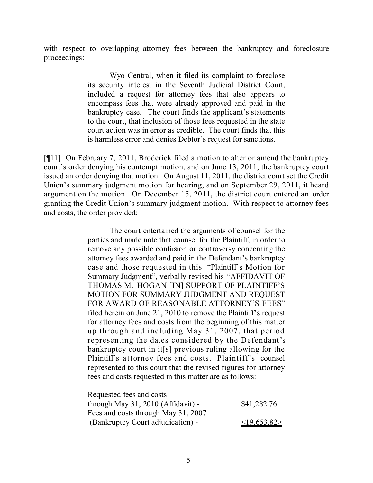with respect to overlapping attorney fees between the bankruptcy and foreclosure proceedings:

> Wyo Central, when it filed its complaint to foreclose its security interest in the Seventh Judicial District Court, included a request for attorney fees that also appears to encompass fees that were already approved and paid in the bankruptcy case. The court finds the applicant's statements to the court, that inclusion of those fees requested in the state court action was in error as credible. The court finds that this is harmless error and denies Debtor's request for sanctions.

[¶11] On February 7, 2011, Broderick filed a motion to alter or amend the bankruptcy court's order denying his contempt motion, and on June 13, 2011, the bankruptcy court issued an order denying that motion. On August 11, 2011, the district court set the Credit Union's summary judgment motion for hearing, and on September 29, 2011, it heard argument on the motion. On December 15, 2011, the district court entered an order granting the Credit Union's summary judgment motion. With respect to attorney fees and costs, the order provided:

> The court entertained the arguments of counsel for the parties and made note that counsel for the Plaintiff, in order to remove any possible confusion or controversy concerning the attorney fees awarded and paid in the Defendant's bankruptcy case and those requested in this "Plaintiff's Motion for Summary Judgment", verbally revised his "AFFIDAVIT OF THOMAS M. HOGAN [IN] SUPPORT OF PLAINTIFF'S MOTION FOR SUMMARY JUDGMENT AND REQUEST FOR AWARD OF REASONABLE ATTORNEY'S FEES" filed herein on June 21, 2010 to remove the Plaintiff's request for attorney fees and costs from the beginning of this matter up through and including May 31, 2007, that period representing the dates considered by the Defendant's bankruptcy court in it[s] previous ruling allowing for the Plaintiff's attorney fees and costs. Plaintiff's counsel represented to this court that the revised figures for attorney fees and costs requested in this matter are as follows:

| Requested fees and costs            |             |
|-------------------------------------|-------------|
| through May 31, 2010 (Affidavit) -  | \$41,282.76 |
| Fees and costs through May 31, 2007 |             |
| (Bankruptcy Court adjudication) -   | <19,653.82> |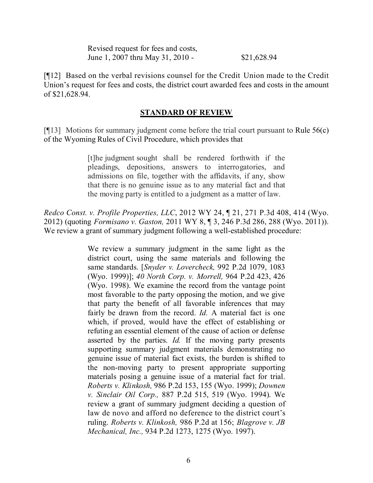| Revised request for fees and costs, |             |
|-------------------------------------|-------------|
| June 1, 2007 thru May 31, 2010 -    | \$21,628.94 |

[¶12] Based on the verbal revisions counsel for the Credit Union made to the Credit Union's request for fees and costs, the district court awarded fees and costs in the amount of \$21,628.94.

#### **STANDARD OF REVIEW**

[ $\llbracket$ [13] Motions for summary judgment come before the trial court pursuant to Rule 56(c) of the Wyoming Rules of Civil Procedure, which provides that

> [t]he judgment sought shall be rendered forthwith if the pleadings, depositions, answers to interrogatories, and admissions on file, together with the affidavits, if any, show that there is no genuine issue as to any material fact and that the moving party is entitled to a judgment as a matter of law.

*Redco Const. v. Profile Properties, LLC*, 2012 WY 24, ¶ 21, 271 P.3d 408, 414 (Wyo. 2012) (quoting *Formisano v. Gaston,* 2011 WY 8, ¶ 3, 246 P.3d 286, 288 (Wyo. 2011)). We review a grant of summary judgment following a well-established procedure:

> We review a summary judgment in the same light as the district court, using the same materials and following the same standards. [*Snyder v. Lovercheck,* 992 P.2d 1079, 1083 (Wyo. 1999)]; *40 North Corp. v. Morrell,* 964 P.2d 423, 426 (Wyo. 1998). We examine the record from the vantage point most favorable to the party opposing the motion, and we give that party the benefit of all favorable inferences that may fairly be drawn from the record. *Id.* A material fact is one which, if proved, would have the effect of establishing or refuting an essential element of the cause of action or defense asserted by the parties. *Id.* If the moving party presents supporting summary judgment materials demonstrating no genuine issue of material fact exists, the burden is shifted to the non-moving party to present appropriate supporting materials posing a genuine issue of a material fact for trial. *Roberts v. Klinkosh,* 986 P.2d 153, 155 (Wyo. 1999); *Downen v. Sinclair Oil Corp.,* 887 P.2d 515, 519 (Wyo. 1994). We review a grant of summary judgment deciding a question of law de novo and afford no deference to the district court's ruling. *Roberts v. Klinkosh,* 986 P.2d at 156; *Blagrove v. JB Mechanical, Inc.,* 934 P.2d 1273, 1275 (Wyo. 1997).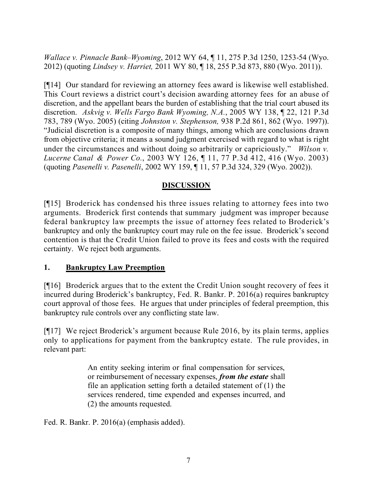*Wallace v. Pinnacle Bank–Wyoming*, 2012 WY 64, ¶ 11, 275 P.3d 1250, 1253-54 (Wyo. 2012) (quoting *Lindsey v. Harriet,* 2011 WY 80, ¶ 18, 255 P.3d 873, 880 (Wyo. 2011)).

[¶14] Our standard for reviewing an attorney fees award is likewise well established. This Court reviews a district court's decision awarding attorney fees for an abuse of discretion, and the appellant bears the burden of establishing that the trial court abused its discretion. *Askvig v. Wells Fargo Bank Wyoming, N.A.*, 2005 WY 138, ¶ 22, 121 P.3d 783, 789 (Wyo. 2005) (citing *Johnston v. Stephenson,* 938 P.2d 861, 862 (Wyo. 1997)). "Judicial discretion is a composite of many things, among which are conclusions drawn from objective criteria; it means a sound judgment exercised with regard to what is right under the circumstances and without doing so arbitrarily or capriciously." *Wilson v. Lucerne Canal & Power Co.*, 2003 WY 126, ¶ 11, 77 P.3d 412, 416 (Wyo. 2003) (quoting *Pasenelli v. Pasenelli*, 2002 WY 159, ¶ 11, 57 P.3d 324, 329 (Wyo. 2002)).

## **DISCUSSION**

[¶15] Broderick has condensed his three issues relating to attorney fees into two arguments. Broderick first contends that summary judgment was improper because federal bankruptcy law preempts the issue of attorney fees related to Broderick's bankruptcy and only the bankruptcy court may rule on the fee issue. Broderick's second contention is that the Credit Union failed to prove its fees and costs with the required certainty. We reject both arguments.

### **1. Bankruptcy Law Preemption**

[¶16] Broderick argues that to the extent the Credit Union sought recovery of fees it incurred during Broderick's bankruptcy, Fed. R. Bankr. P. 2016(a) requires bankruptcy court approval of those fees. He argues that under principles of federal preemption, this bankruptcy rule controls over any conflicting state law.

[¶17] We reject Broderick's argument because Rule 2016, by its plain terms, applies only to applications for payment from the bankruptcy estate. The rule provides, in relevant part:

> An entity seeking interim or final compensation for services, or reimbursement of necessary expenses, *from the estate* shall file an application setting forth a detailed statement of (1) the services rendered, time expended and expenses incurred, and (2) the amounts requested.

Fed. R. Bankr. P. 2016(a) (emphasis added).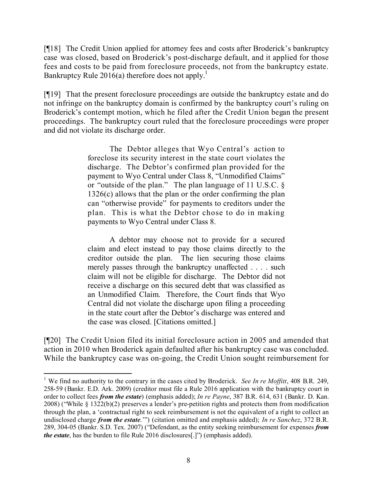[¶18] The Credit Union applied for attorney fees and costs after Broderick's bankruptcy case was closed, based on Broderick's post-discharge default, and it applied for those fees and costs to be paid from foreclosure proceeds, not from the bankruptcy estate. Bankruptcy Rule  $2016(a)$  therefore does not apply.<sup>1</sup>

[¶19] That the present foreclosure proceedings are outside the bankruptcy estate and do not infringe on the bankruptcy domain is confirmed by the bankruptcy court's ruling on Broderick's contempt motion, which he filed after the Credit Union began the present proceedings. The bankruptcy court ruled that the foreclosure proceedings were proper and did not violate its discharge order.

> The Debtor alleges that Wyo Central's action to foreclose its security interest in the state court violates the discharge. The Debtor's confirmed plan provided for the payment to Wyo Central under Class 8, "Unmodified Claims" or "outside of the plan." The plan language of 11 U.S.C. § 1326(c) allows that the plan or the order confirming the plan can "otherwise provide" for payments to creditors under the plan. This is what the Debtor chose to do in making payments to Wyo Central under Class 8.

> A debtor may choose not to provide for a secured claim and elect instead to pay those claims directly to the creditor outside the plan. The lien securing those claims merely passes through the bankruptcy unaffected . . . . such claim will not be eligible for discharge. The Debtor did not receive a discharge on this secured debt that was classified as an Unmodified Claim. Therefore, the Court finds that Wyo Central did not violate the discharge upon filing a proceeding in the state court after the Debtor's discharge was entered and the case was closed. [Citations omitted.]

[¶20] The Credit Union filed its initial foreclosure action in 2005 and amended that action in 2010 when Broderick again defaulted after his bankruptcy case was concluded. While the bankruptcy case was on-going, the Credit Union sought reimbursement for

 $\overline{a}$ 

<sup>1</sup> We find no authority to the contrary in the cases cited by Broderick. *See In re Moffitt*, 408 B.R. 249, 258-59 (Bankr. E.D. Ark. 2009) (creditor must file a Rule 2016 application with the bankruptcy court in order to collect fees *from the estate*) (emphasis added); *In re Payne*, 387 B.R. 614, 631 (Bankr. D. Kan. 2008) ("While § 1322(b)(2) preserves a lender's pre-petition rights and protects them from modification through the plan, a 'contractual right to seek reimbursement is not the equivalent of a right to collect an undisclosed charge *from the estate*.'") (citation omitted and emphasis added); *In re Sanchez*, 372 B.R. 289, 304-05 (Bankr. S.D. Tex. 2007) ("Defendant, as the entity seeking reimbursement for expenses *from the estate*, has the burden to file Rule 2016 disclosures[.]") (emphasis added).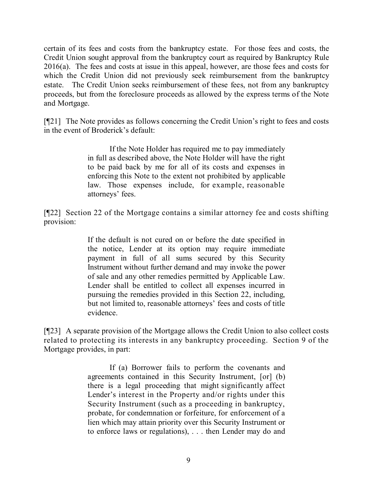certain of its fees and costs from the bankruptcy estate. For those fees and costs, the Credit Union sought approval from the bankruptcy court as required by Bankruptcy Rule 2016(a). The fees and costs at issue in this appeal, however, are those fees and costs for which the Credit Union did not previously seek reimbursement from the bankruptcy estate. The Credit Union seeks reimbursement of these fees, not from any bankruptcy proceeds, but from the foreclosure proceeds as allowed by the express terms of the Note and Mortgage.

[¶21] The Note provides as follows concerning the Credit Union's right to fees and costs in the event of Broderick's default:

> If the Note Holder has required me to pay immediately in full as described above, the Note Holder will have the right to be paid back by me for all of its costs and expenses in enforcing this Note to the extent not prohibited by applicable law. Those expenses include, for example, reasonable attorneys' fees.

[¶22] Section 22 of the Mortgage contains a similar attorney fee and costs shifting provision:

> If the default is not cured on or before the date specified in the notice, Lender at its option may require immediate payment in full of all sums secured by this Security Instrument without further demand and may invoke the power of sale and any other remedies permitted by Applicable Law. Lender shall be entitled to collect all expenses incurred in pursuing the remedies provided in this Section 22, including, but not limited to, reasonable attorneys' fees and costs of title evidence.

[¶23] A separate provision of the Mortgage allows the Credit Union to also collect costs related to protecting its interests in any bankruptcy proceeding. Section 9 of the Mortgage provides, in part:

> If (a) Borrower fails to perform the covenants and agreements contained in this Security Instrument, [or] (b) there is a legal proceeding that might significantly affect Lender's interest in the Property and/or rights under this Security Instrument (such as a proceeding in bankruptcy, probate, for condemnation or forfeiture, for enforcement of a lien which may attain priority over this Security Instrument or to enforce laws or regulations), . . . then Lender may do and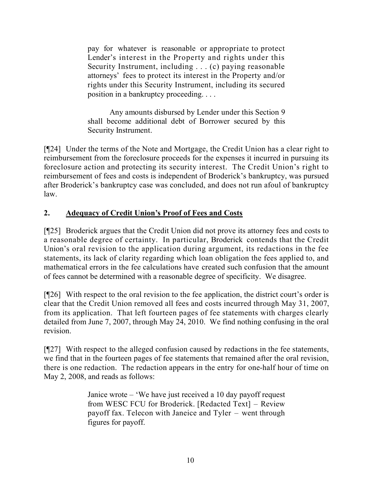pay for whatever is reasonable or appropriate to protect Lender's interest in the Property and rights under this Security Instrument, including . . . (c) paying reasonable attorneys' fees to protect its interest in the Property and/or rights under this Security Instrument, including its secured position in a bankruptcy proceeding. . . .

Any amounts disbursed by Lender under this Section 9 shall become additional debt of Borrower secured by this Security Instrument.

[¶24] Under the terms of the Note and Mortgage, the Credit Union has a clear right to reimbursement from the foreclosure proceeds for the expenses it incurred in pursuing its foreclosure action and protecting its security interest. The Credit Union's right to reimbursement of fees and costs is independent of Broderick's bankruptcy, was pursued after Broderick's bankruptcy case was concluded, and does not run afoul of bankruptcy law.

# **2. Adequacy of Credit Union's Proof of Fees and Costs**

[¶25] Broderick argues that the Credit Union did not prove its attorney fees and costs to a reasonable degree of certainty. In particular, Broderick contends that the Credit Union's oral revision to the application during argument, its redactions in the fee statements, its lack of clarity regarding which loan obligation the fees applied to, and mathematical errors in the fee calculations have created such confusion that the amount of fees cannot be determined with a reasonable degree of specificity. We disagree.

[¶26] With respect to the oral revision to the fee application, the district court's order is clear that the Credit Union removed all fees and costs incurred through May 31, 2007, from its application. That left fourteen pages of fee statements with charges clearly detailed from June 7, 2007, through May 24, 2010. We find nothing confusing in the oral revision.

[¶27] With respect to the alleged confusion caused by redactions in the fee statements, we find that in the fourteen pages of fee statements that remained after the oral revision, there is one redaction. The redaction appears in the entry for one-half hour of time on May 2, 2008, and reads as follows:

> Janice wrote – 'We have just received a 10 day payoff request from WESC FCU for Broderick. [Redacted Text] – Review payoff fax. Telecon with Janeice and Tyler – went through figures for payoff.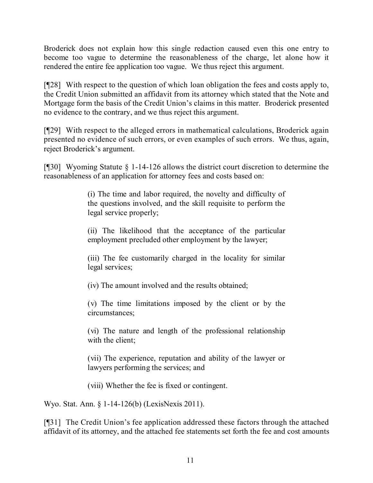Broderick does not explain how this single redaction caused even this one entry to become too vague to determine the reasonableness of the charge, let alone how it rendered the entire fee application too vague. We thus reject this argument.

[¶28] With respect to the question of which loan obligation the fees and costs apply to, the Credit Union submitted an affidavit from its attorney which stated that the Note and Mortgage form the basis of the Credit Union's claims in this matter. Broderick presented no evidence to the contrary, and we thus reject this argument.

[¶29] With respect to the alleged errors in mathematical calculations, Broderick again presented no evidence of such errors, or even examples of such errors. We thus, again, reject Broderick's argument.

[¶30] Wyoming Statute § 1-14-126 allows the district court discretion to determine the reasonableness of an application for attorney fees and costs based on:

> (i) The time and labor required, the novelty and difficulty of the questions involved, and the skill requisite to perform the legal service properly;

> (ii) The likelihood that the acceptance of the particular employment precluded other employment by the lawyer;

> (iii) The fee customarily charged in the locality for similar legal services;

(iv) The amount involved and the results obtained;

(v) The time limitations imposed by the client or by the circumstances;

(vi) The nature and length of the professional relationship with the client:

(vii) The experience, reputation and ability of the lawyer or lawyers performing the services; and

(viii) Whether the fee is fixed or contingent.

Wyo. Stat. Ann. § 1-14-126(b) (LexisNexis 2011).

[¶31] The Credit Union's fee application addressed these factors through the attached affidavit of its attorney, and the attached fee statements set forth the fee and cost amounts